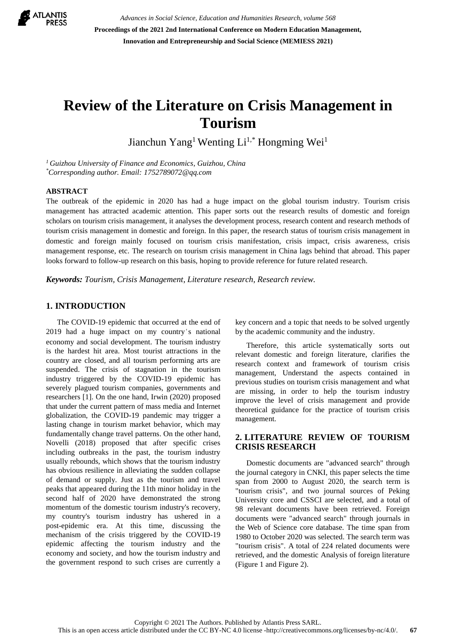

*Advances in Social Science, Education and Humanities Research, volume 568* **Proceedings of the 2021 2nd International Conference on Modern Education Management, Innovation and Entrepreneurship and Social Science (MEMIESS 2021)**

# **Review of the Literature on Crisis Management in Tourism**

Jianchun Yang<sup>1</sup> Wenting Li<sup>1,\*</sup> Hongming Wei<sup>1</sup>

*<sup>1</sup>Guizhou University of Finance and Economics, Guizhou, China \*Corresponding author. Email: 1752789072@qq.com*

#### **ABSTRACT**

The outbreak of the epidemic in 2020 has had a huge impact on the global tourism industry. Tourism crisis management has attracted academic attention. This paper sorts out the research results of domestic and foreign scholars on tourism crisis management, it analyses the development process, research content and research methods of tourism crisis management in domestic and foreign. In this paper, the research status of tourism crisis management in domestic and foreign mainly focused on tourism crisis manifestation, crisis impact, crisis awareness, crisis management response, etc. The research on tourism crisis management in China lags behind that abroad. This paper looks forward to follow-up research on this basis, hoping to provide reference for future related research.

*Keywords: Tourism, Crisis Management, Literature research, Research review.*

# **1. INTRODUCTION**

The COVID-19 epidemic that occurred at the end of 2019 had a huge impact on my country's national economy and social development. The tourism industry is the hardest hit area. Most tourist attractions in the country are closed, and all tourism performing arts are suspended. The crisis of stagnation in the tourism industry triggered by the COVID-19 epidemic has severely plagued tourism companies, governments and researchers [1]. On the one hand, Irwin (2020) proposed that under the current pattern of mass media and Internet globalization, the COVID-19 pandemic may trigger a lasting change in tourism market behavior, which may fundamentally change travel patterns. On the other hand, Novelli (2018) proposed that after specific crises including outbreaks in the past, the tourism industry usually rebounds, which shows that the tourism industry has obvious resilience in alleviating the sudden collapse of demand or supply. Just as the tourism and travel peaks that appeared during the 11th minor holiday in the second half of 2020 have demonstrated the strong momentum of the domestic tourism industry's recovery, my country's tourism industry has ushered in a post-epidemic era. At this time, discussing the mechanism of the crisis triggered by the COVID-19 epidemic affecting the tourism industry and the economy and society, and how the tourism industry and the government respond to such crises are currently a

key concern and a topic that needs to be solved urgently by the academic community and the industry.

Therefore, this article systematically sorts out relevant domestic and foreign literature, clarifies the research context and framework of tourism crisis management, Understand the aspects contained in previous studies on tourism crisis management and what are missing, in order to help the tourism industry improve the level of crisis management and provide theoretical guidance for the practice of tourism crisis management.

# **2. LITERATURE REVIEW OF TOURISM CRISIS RESEARCH**

Domestic documents are "advanced search" through the journal category in CNKI, this paper selects the time span from 2000 to August 2020, the search term is "tourism crisis", and two journal sources of Peking University core and CSSCI are selected, and a total of 98 relevant documents have been retrieved. Foreign documents were "advanced search" through journals in the Web of Science core database. The time span from 1980 to October 2020 was selected. The search term was "tourism crisis". A total of 224 related documents were retrieved, and the domestic Analysis of foreign literature (Figure 1 and Figure 2).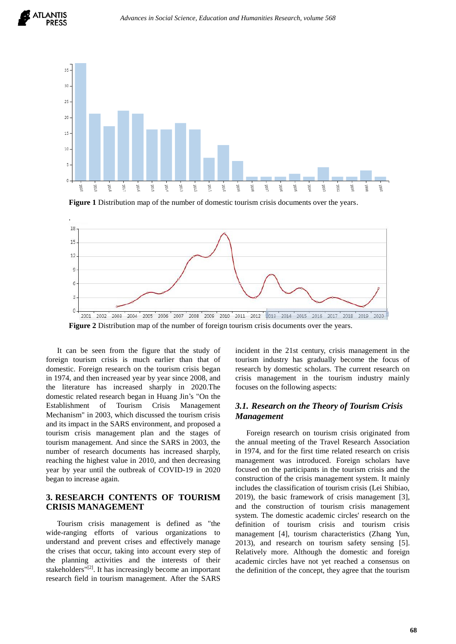



**Figure 1** Distribution map of the number of domestic tourism crisis documents over the years.



**Figure 2** Distribution map of the number of foreign tourism crisis documents over the years.

It can be seen from the figure that the study of foreign tourism crisis is much earlier than that of domestic. Foreign research on the tourism crisis began in 1974, and then increased year by year since 2008, and the literature has increased sharply in 2020.The domestic related research began in Huang Jin's "On the Establishment of Tourism Crisis Management Mechanism" in 2003, which discussed the tourism crisis and its impact in the SARS environment, and proposed a tourism crisis management plan and the stages of tourism management. And since the SARS in 2003, the number of research documents has increased sharply, reaching the highest value in 2010, and then decreasing year by year until the outbreak of COVID-19 in 2020 began to increase again.

## **3. RESEARCH CONTENTS OF TOURISM CRISIS MANAGEMENT**

Tourism crisis management is defined as "the wide-ranging efforts of various organizations to understand and prevent crises and effectively manage the crises that occur, taking into account every step of the planning activities and the interests of their stakeholders<sup>"[2]</sup>. It has increasingly become an important research field in tourism management. After the SARS

incident in the 21st century, crisis management in the tourism industry has gradually become the focus of research by domestic scholars. The current research on crisis management in the tourism industry mainly focuses on the following aspects:

# *3.1. Research on the Theory of Tourism Crisis Management*

Foreign research on tourism crisis originated from the annual meeting of the Travel Research Association in 1974, and for the first time related research on crisis management was introduced. Foreign scholars have focused on the participants in the tourism crisis and the construction of the crisis management system. It mainly includes the classification of tourism crisis (Lei Shibiao, 2019), the basic framework of crisis management [3], and the construction of tourism crisis management system. The domestic academic circles' research on the definition of tourism crisis and tourism crisis management [4], tourism characteristics (Zhang Yun, 2013), and research on tourism safety sensing [5]. Relatively more. Although the domestic and foreign academic circles have not yet reached a consensus on the definition of the concept, they agree that the tourism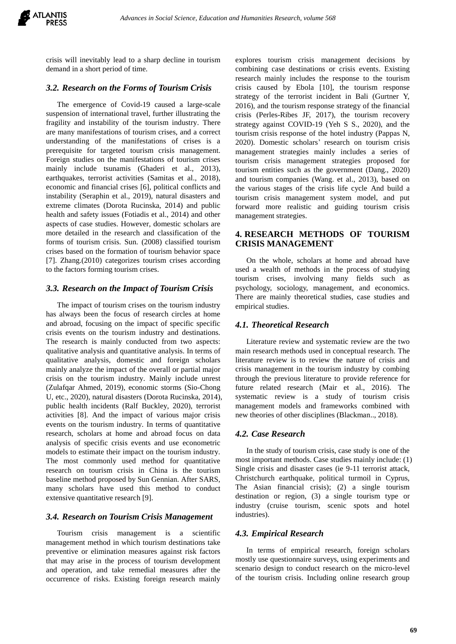

crisis will inevitably lead to a sharp decline in tourism demand in a short period of time.

## *3.2. Research on the Forms of Tourism Crisis*

The emergence of Covid-19 caused a large-scale suspension of international travel, further illustrating the fragility and instability of the tourism industry. There are many manifestations of tourism crises, and a correct understanding of the manifestations of crises is a prerequisite for targeted tourism crisis management. Foreign studies on the manifestations of tourism crises mainly include tsunamis (Ghaderi et al., 2013), earthquakes, terrorist activities (Samitas et al., 2018), economic and financial crises [6], political conflicts and instability (Seraphin et al., 2019), natural disasters and extreme climates (Dorota Rucinska, 2014) and public health and safety issues (Fotiadis et al., 2014) and other aspects of case studies. However, domestic scholars are more detailed in the research and classification of the forms of tourism crisis. Sun. (2008) classified tourism crises based on the formation of tourism behavior space [7]. Zhang.(2010) categorizes tourism crises according to the factors forming tourism crises.

#### *3.3. Research on the Impact of Tourism Crisis*

The impact of tourism crises on the tourism industry has always been the focus of research circles at home and abroad, focusing on the impact of specific specific crisis events on the tourism industry and destinations. The research is mainly conducted from two aspects: qualitative analysis and quantitative analysis. In terms of qualitative analysis, domestic and foreign scholars mainly analyze the impact of the overall or partial major crisis on the tourism industry. Mainly include unrest (Zulafqar Ahmed, 2019), economic storms (Sio-Chong U, etc., 2020), natural disasters (Dorota Rucinska, 2014), public health incidents (Ralf Buckley, 2020), terrorist activities [8]. And the impact of various major crisis events on the tourism industry. In terms of quantitative research, scholars at home and abroad focus on data analysis of specific crisis events and use econometric models to estimate their impact on the tourism industry. The most commonly used method for quantitative research on tourism crisis in China is the tourism baseline method proposed by Sun Gennian. After SARS, many scholars have used this method to conduct extensive quantitative research [9].

#### *3.4. Research on Tourism Crisis Management*

Tourism crisis management is a scientific management method in which tourism destinations take preventive or elimination measures against risk factors that may arise in the process of tourism development and operation, and take remedial measures after the occurrence of risks. Existing foreign research mainly

explores tourism crisis management decisions by combining case destinations or crisis events. Existing research mainly includes the response to the tourism crisis caused by Ebola [10], the tourism response strategy of the terrorist incident in Bali (Gurtner Y, 2016), and the tourism response strategy of the financial crisis (Perles-Ribes JF, 2017), the tourism recovery strategy against COVID-19 (Yeh S S., 2020), and the tourism crisis response of the hotel industry (Pappas N, 2020). Domestic scholars' research on tourism crisis management strategies mainly includes a series of tourism crisis management strategies proposed for tourism entities such as the government (Dang., 2020) and tourism companies (Wang. et al., 2013), based on the various stages of the crisis life cycle And build a tourism crisis management system model, and put forward more realistic and guiding tourism crisis management strategies.

## **4. RESEARCH METHODS OF TOURISM CRISIS MANAGEMENT**

On the whole, scholars at home and abroad have used a wealth of methods in the process of studying tourism crises, involving many fields such as psychology, sociology, management, and economics. There are mainly theoretical studies, case studies and empirical studies.

#### *4.1. Theoretical Research*

Literature review and systematic review are the two main research methods used in conceptual research. The literature review is to review the nature of crisis and crisis management in the tourism industry by combing through the previous literature to provide reference for future related research (Mair et al., 2016). The systematic review is a study of tourism crisis management models and frameworks combined with new theories of other disciplines (Blackman.., 2018).

#### *4.2. Case Research*

In the study of tourism crisis, case study is one of the most important methods. Case studies mainly include: (1) Single crisis and disaster cases (ie 9-11 terrorist attack, Christchurch earthquake, political turmoil in Cyprus, The Asian financial crisis); (2) a single tourism destination or region, (3) a single tourism type or industry (cruise tourism, scenic spots and hotel industries).

#### *4.3. Empirical Research*

In terms of empirical research, foreign scholars mostly use questionnaire surveys, using experiments and scenario design to conduct research on the micro-level of the tourism crisis. Including online research group